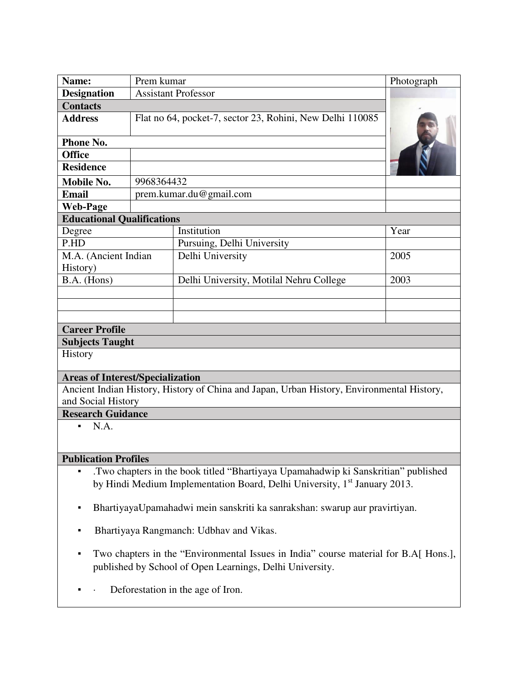| Name:                                                                                                                                                 | Prem kumar                                                |                                         | Photograph |
|-------------------------------------------------------------------------------------------------------------------------------------------------------|-----------------------------------------------------------|-----------------------------------------|------------|
| <b>Assistant Professor</b><br><b>Designation</b>                                                                                                      |                                                           |                                         |            |
| <b>Contacts</b>                                                                                                                                       |                                                           |                                         |            |
| <b>Address</b>                                                                                                                                        | Flat no 64, pocket-7, sector 23, Rohini, New Delhi 110085 |                                         |            |
| Phone No.                                                                                                                                             |                                                           |                                         |            |
| <b>Office</b>                                                                                                                                         |                                                           |                                         |            |
| <b>Residence</b>                                                                                                                                      |                                                           |                                         |            |
| <b>Mobile No.</b>                                                                                                                                     | 9968364432                                                |                                         |            |
| <b>Email</b>                                                                                                                                          | prem.kumar.du@gmail.com                                   |                                         |            |
| <b>Web-Page</b>                                                                                                                                       |                                                           |                                         |            |
| <b>Educational Qualifications</b>                                                                                                                     |                                                           |                                         |            |
| Degree                                                                                                                                                |                                                           | Institution                             | Year       |
| P.HD                                                                                                                                                  |                                                           | Pursuing, Delhi University              |            |
| M.A. (Ancient Indian                                                                                                                                  |                                                           | Delhi University                        | 2005       |
| History)                                                                                                                                              |                                                           |                                         |            |
| B.A. (Hons)                                                                                                                                           |                                                           | Delhi University, Motilal Nehru College | 2003       |
|                                                                                                                                                       |                                                           |                                         |            |
|                                                                                                                                                       |                                                           |                                         |            |
|                                                                                                                                                       |                                                           |                                         |            |
| <b>Career Profile</b>                                                                                                                                 |                                                           |                                         |            |
| <b>Subjects Taught</b>                                                                                                                                |                                                           |                                         |            |
| History                                                                                                                                               |                                                           |                                         |            |
| <b>Areas of Interest/Specialization</b>                                                                                                               |                                                           |                                         |            |
| Ancient Indian History, History of China and Japan, Urban History, Environmental History,                                                             |                                                           |                                         |            |
| and Social History                                                                                                                                    |                                                           |                                         |            |
| <b>Research Guidance</b>                                                                                                                              |                                                           |                                         |            |
| N.A.<br>٠,                                                                                                                                            |                                                           |                                         |            |
|                                                                                                                                                       |                                                           |                                         |            |
| <b>Publication Profiles</b>                                                                                                                           |                                                           |                                         |            |
|                                                                                                                                                       |                                                           |                                         |            |
| Two chapters in the book titled "Bhartiyaya Upamahadwip ki Sanskritian" published<br>٠                                                                |                                                           |                                         |            |
| by Hindi Medium Implementation Board, Delhi University, 1 <sup>st</sup> January 2013.                                                                 |                                                           |                                         |            |
| BhartiyayaUpamahadwi mein sanskriti ka sanrakshan: swarup aur pravirtiyan.<br>$\blacksquare$                                                          |                                                           |                                         |            |
| Bhartiyaya Rangmanch: Udbhav and Vikas.<br>٠                                                                                                          |                                                           |                                         |            |
| Two chapters in the "Environmental Issues in India" course material for B.A. Hons.],<br>٠<br>published by School of Open Learnings, Delhi University. |                                                           |                                         |            |

▪ · Deforestation in the age of Iron.